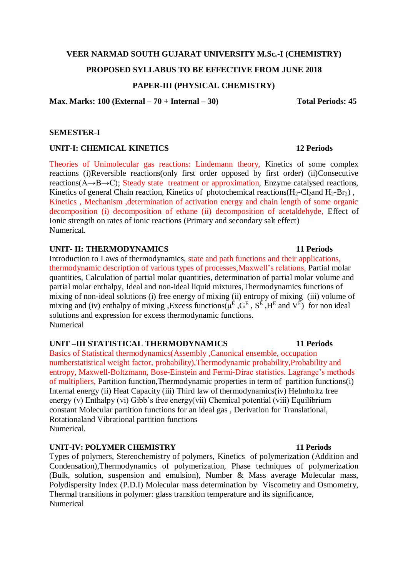## **VEER NARMAD SOUTH GUJARAT UNIVERSITY M.Sc.-I (CHEMISTRY)**

## **PROPOSED SYLLABUS TO BE EFFECTIVE FROM JUNE 2018**

# **PAPER-III (PHYSICAL CHEMISTRY)**

**Max. Marks: 100 (External – 70 + Internal – 30) Total Periods: 45**

#### **SEMESTER-I**

## **UNIT-I: CHEMICAL KINETICS 12 Periods**

Theories of Unimolecular gas reactions: Lindemann theory, Kinetics of some complex reactions (i)Reversible reactions(only first order opposed by first order) (ii)Consecutive reactions(A→B→C); Steady state treatment or approximation, Enzyme catalysed reactions, Kinetics of general Chain reaction, Kinetics of photochemical reactions( $H_2$ -Cl<sub>2</sub>and  $H_2$ -Br<sub>2</sub>), Kinetics , Mechanism ,determination of activation energy and chain length of some organic decomposition (i) decomposition of ethane (ii) decomposition of acetaldehyde, Effect of Ionic strength on rates of ionic reactions (Primary and secondary salt effect) Numerical.

# **UNIT- II: THERMODYNAMICS** 11 Periods

Introduction to Laws of thermodynamics, state and path functions and their applications, thermodynamic description of various types of processes,Maxwell's relations, Partial molar quantities, Calculation of partial molar quantities, determination of partial molar volume and partial molar enthalpy, Ideal and non-ideal liquid mixtures,Thermodynamics functions of mixing of non-ideal solutions (i) free energy of mixing (ii) entropy of mixing (iii) volume of mixing and (iv) enthalpy of mixing , Excess functions( $\mu$ <sup>E</sup>,  $G$ <sup>E</sup>,  $S$ <sup>E</sup>,  $H$ <sup>E</sup> and  $V$ <sup>E</sup>) for non ideal solutions and expression for excess thermodynamic functions. Numerical

## **UNIT –III STATISTICAL THERMODYNAMICS 11 Periods**

Basics of Statistical thermodynamics(Assembly ,Canonical ensemble, occupation numberstatistical weight factor, probability),Thermodynamic probability,Probability and entropy, Maxwell-Boltzmann, Bose-Einstein and Fermi-Dirac statistics. Lagrange's methods of multipliers, Partition function,Thermodynamic properties in term of partition functions(i) Internal energy (ii) Heat Capacity (iii) Third law of thermodynamics(iv) Helmholtz free energy (v) Enthalpy (vi) Gibb's free energy(vii) Chemical potential (viii) Equilibrium constant Molecular partition functions for an ideal gas , Derivation for Translational, Rotationaland Vibrational partition functions Numerical.

## **UNIT-IV: POLYMER CHEMISTRY 11 Periods**

Types of polymers, Stereochemistry of polymers, Kinetics of polymerization (Addition and Condensation),Thermodynamics of polymerization, Phase techniques of polymerization (Bulk, solution, suspension and emulsion), Number & Mass average Molecular mass, Polydispersity Index (P.D.I) Molecular mass determination by Viscometry and Osmometry, Thermal transitions in polymer: glass transition temperature and its significance, Numerical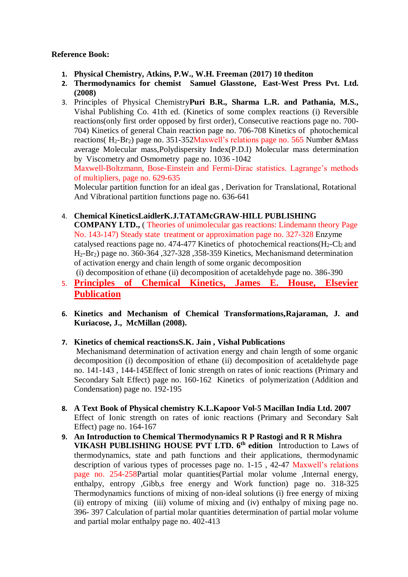# **Reference Book:**

- **1. Physical Chemistry, Atkins, P.W., W.H. Freeman (2017) 10 thediton**
- **2. Thermodynamics for chemist Samuel Glasstone, East-West Press Pvt. Ltd. (2008)**
- 3. Principles of Physical Chemistry**Puri B.R., Sharma L.R. and Pathania, M.S.,** Vishal Publishing Co. 41th ed. (Kinetics of some complex reactions (i) Reversible reactions(only first order opposed by first order), Consecutive reactions page no. 700- 704) Kinetics of general Chain reaction page no. 706-708 Kinetics of photochemical reactions(  $H_2-Br_2$ ) page no. 351-352Maxwell's relations page no. 565 Number & Mass average Molecular mass,Polydispersity Index(P.D.I) Molecular mass determination by Viscometry and Osmometry page no. 1036 -1042

Maxwell-Boltzmann, Bose-Einstein and Fermi-Dirac statistics. Lagrange's methods of multipliers, page no. 629-635

 Molecular partition function for an ideal gas , Derivation for Translational, Rotational And Vibrational partition functions page no. 636-641

4. **Chemical KineticsLaidlerK.J.TATAMcGRAW-HILL PUBLISHING** 

**COMPANY LTD.,** ( Theories of unimolecular gas reactions: Lindemann theory Page No. 143-147) Steady state treatment or approximation page no. 327-328 Enzyme catalysed reactions page no. 474-477 Kinetics of photochemical reactions( $H_2$ -Cl<sub>2</sub> and H2-Br2) page no. 360-364 ,327-328 ,358-359 Kinetics, Mechanismand determination of activation energy and chain length of some organic decomposition (i) decomposition of ethane (ii) decomposition of acetaldehyde page no. 386-390

- 5. **Principles of Chemical Kinetics, James E. House, Elsevier Publication**
- **6. Kinetics and Mechanism of Chemical Transformations,Rajaraman, J. and Kuriacose, J., McMillan (2008).**

## **7. Kinetics of chemical reactionsS.K. Jain , Vishal Publications**

Mechanismand determination of activation energy and chain length of some organic decomposition (i) decomposition of ethane (ii) decomposition of acetaldehyde page no. 141-143 , 144-145Effect of Ionic strength on rates of ionic reactions (Primary and Secondary Salt Effect) page no. 160-162 Kinetics of polymerization (Addition and Condensation) page no. 192-195

- **8. A Text Book of Physical chemistry K.L.Kapoor Vol-5 Macillan India Ltd. 2007** Effect of Ionic strength on rates of ionic reactions (Primary and Secondary Salt Effect) page no. 164-167
- **9. An Introduction to Chemical Thermodynamics R P Rastogi and R R Mishra VIKASH PUBLISHING HOUSE PVT LTD. 6th edition** Introduction to Laws of thermodynamics, state and path functions and their applications, thermodynamic description of various types of processes page no. 1-15 , 42-47 Maxwell's relations page no. 254-258Partial molar quantities(Partial molar volume ,Internal energy, enthalpy, entropy ,Gibb,s free energy and Work function) page no. 318-325 Thermodynamics functions of mixing of non-ideal solutions (i) free energy of mixing (ii) entropy of mixing (iii) volume of mixing and (iv) enthalpy of mixing page no. 396- 397 Calculation of partial molar quantities determination of partial molar volume and partial molar enthalpy page no. 402-413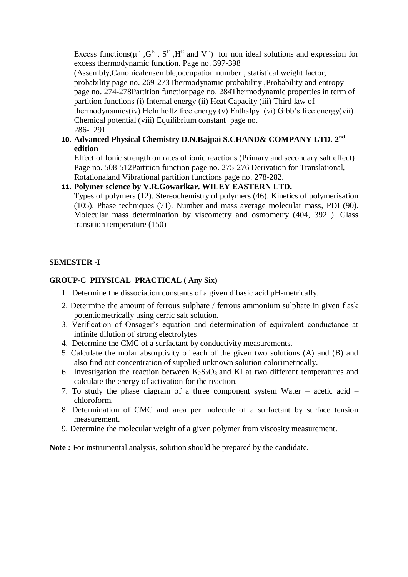Excess functions ( $\mu^E$ ,  $G^E$ ,  $S^E$ ,  $H^E$  and  $V^E$ ) for non ideal solutions and expression for excess thermodynamic function. Page no. 397-398

(Assembly,Canonicalensemble,occupation number , statistical weight factor, probability page no. 269-273Thermodynamic probability ,Probability and entropy page no. 274-278Partition functionpage no. 284Thermodynamic properties in term of partition functions (i) Internal energy (ii) Heat Capacity (iii) Third law of thermodynamics(iv) Helmholtz free energy (v) Enthalpy (vi) Gibb's free energy(vii) Chemical potential (viii) Equilibrium constant page no. 286- 291

# **10. Advanced Physical Chemistry D.N.Bajpai S.CHAND& COMPANY LTD. 2nd edition**

Effect of Ionic strength on rates of ionic reactions (Primary and secondary salt effect) Page no. 508-512Partition function page no. 275-276 Derivation for Translational, Rotationaland Vibrational partition functions page no. 278-282.

# **11. Polymer science by V.R.Gowarikar. WILEY EASTERN LTD.**

Types of polymers (12). Stereochemistry of polymers (46). Kinetics of polymerisation (105). Phase techniques (71). Number and mass average molecular mass, PDI (90). Molecular mass determination by viscometry and osmometry (404, 392 ). Glass transition temperature (150)

# **SEMESTER -I**

# **GROUP-C PHYSICAL PRACTICAL ( Any Six)**

- 1. Determine the dissociation constants of a given dibasic acid pH-metrically.
- 2. Determine the amount of ferrous sulphate / ferrous ammonium sulphate in given flask potentiometrically using cerric salt solution.
- 3. Verification of Onsager's equation and determination of equivalent conductance at infinite dilution of strong electrolytes
- 4. Determine the CMC of a surfactant by conductivity measurements.
- 5. Calculate the molar absorptivity of each of the given two solutions (A) and (B) and also find out concentration of supplied unknown solution colorimetrically.
- 6. Investigation the reaction between  $K_2S_2O_8$  and KI at two different temperatures and calculate the energy of activation for the reaction.
- 7. To study the phase diagram of a three component system Water acetic acid chloroform.
- 8. Determination of CMC and area per molecule of a surfactant by surface tension measurement.
- 9. Determine the molecular weight of a given polymer from viscosity measurement.

**Note :** For instrumental analysis, solution should be prepared by the candidate.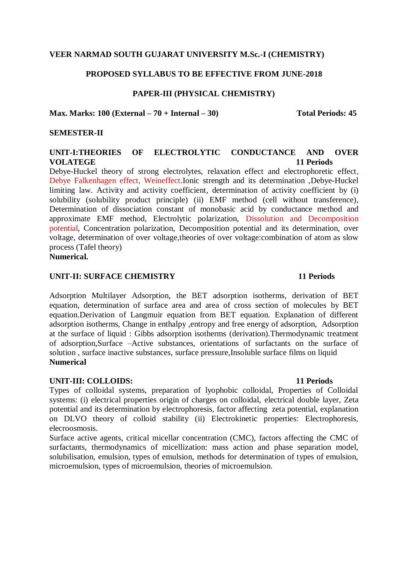# **VEER NARMAD SOUTH GUJARAT UNIVERSITY M.Sc.-I (CHEMISTRY)**

# **PROPOSED SYLLABUS TO BE EFFECTIVE FROM JUNE-2018**

# **PAPER-III (PHYSICAL CHEMISTRY)**

#### **Max. Marks: 100 (External – 70 + Internal – 30) Total Periods: 45**

# **SEMESTER-II**

## **UNIT-I:THEORIES OF ELECTROLYTIC CONDUCTANCE AND OVER VOLATEGE 11 Periods**

Debye-Huckel theory of strong electrolytes, relaxation effect and electrophoretic effect, Debye Falkenhagen effect, Weineffect.Ionic strength and its determination ,Debye-Huckel limiting law. Activity and activity coefficient, determination of activity coefficient by (i) solubility (solubility product principle) (ii) EMF method (cell without transference), Determination of dissociation constant of monobasic acid by conductance method and approximate EMF method, Electrolytic polarization, Dissolution and Decomposition potential, Concentration polarization, Decomposition potential and its determination, over voltage, determination of over voltage,theories of over voltage:combination of atom as slow process (Tafel theory)

**Numerical.**

## **UNIT-II: SURFACE CHEMISTRY 11 Periods**

Adsorption Multilayer Adsorption, the BET adsorption isotherms, derivation of BET equation, determination of surface area and area of cross section of molecules by BET equation.Derivation of Langmuir equation from BET equation. Explanation of different adsorption isotherms, Change in enthalpy ,entropy and free energy of adsorption, Adsorption at the surface of liquid : Gibbs adsorption isotherms (derivation).Thermodynamic treatment of adsorption,Surface –Active substances, orientations of surfactants on the surface of solution , surface inactive substances, surface pressure,Insoluble surface films on liquid **Numerical**

## **UNIT-III: COLLOIDS: 11 Periods**

Types of colloidal systems, preparation of lyophobic colloidal, Properties of Colloidal systems: (i) electrical properties origin of charges on colloidal, electrical double layer, Zeta potential and its determination by electrophoresis, factor affecting zeta potential, explanation on DLVO theory of colloid stability (ii) Electrokinetic properties: Electrophoresis, elecroosmosis.

Surface active agents, critical micellar concentration (CMC), factors affecting the CMC of surfactants, thermodynamics of micellization: mass action and phase separation model, solubilisation, emulsion, types of emulsion, methods for determination of types of emulsion, microemulsion, types of microemulsion, theories of microemulsion.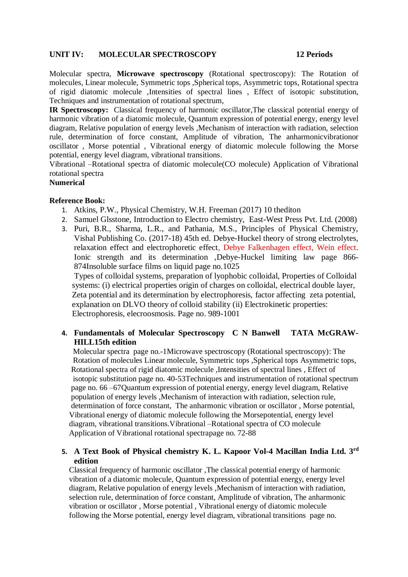## **UNIT IV: MOLECULAR SPECTROSCOPY 12 Periods**

Molecular spectra, **Microwave spectroscopy** (Rotational spectroscopy): The Rotation of molecules, Linear molecule, Symmetric tops ,Spherical tops, Asymmetric tops, Rotational spectra of rigid diatomic molecule ,Intensities of spectral lines , Effect of isotopic substitution, Techniques and instrumentation of rotational spectrum,

**IR Spectroscopy:** Classical frequency of harmonic oscillator,The classical potential energy of harmonic vibration of a diatomic molecule, Quantum expression of potential energy, energy level diagram, Relative population of energy levels ,Mechanism of interaction with radiation, selection rule, determination of force constant, Amplitude of vibration, The anharmonicvibrationor oscillator , Morse potential , Vibrational energy of diatomic molecule following the Morse potential, energy level diagram, vibrational transitions.

Vibrational –Rotational spectra of diatomic molecule(CO molecule) Application of Vibrational rotational spectra

# **Numerical**

## **Reference Book:**

- 1. Atkins, P.W., Physical Chemistry, W.H. Freeman (2017) 10 thediton
- 2. Samuel Glsstone, Introduction to Electro chemistry, East-West Press Pvt. Ltd. (2008)
- 3. Puri, B.R., Sharma, L.R., and Pathania, M.S., Principles of Physical Chemistry, Vishal Publishing Co. (2017-18) 45th ed. Debye-Huckel theory of strong electrolytes, relaxation effect and electrophoretic effect, Debye Falkenhagen effect, Wein effect. Ionic strength and its determination ,Debye-Huckel limiting law page 866- 874Insoluble surface films on liquid page no.1025

 Types of colloidal systems, preparation of lyophobic colloidal, Properties of Colloidal systems: (i) electrical properties origin of charges on colloidal, electrical double layer, Zeta potential and its determination by electrophoresis, factor affecting zeta potential, explanation on DLVO theory of colloid stability (ii) Electrokinetic properties: Electrophoresis, elecroosmosis. Page no. 989-1001

# **4. Fundamentals of Molecular Spectroscopy C N Banwell TATA McGRAW-HILL15th edition**

 Molecular spectra page no.-1Microwave spectroscopy (Rotational spectroscopy): The Rotation of molecules Linear molecule, Symmetric tops ,Spherical tops Asymmetric tops, Rotational spectra of rigid diatomic molecule ,Intensities of spectral lines , Effect of isotopic substitution page no. 40-53Techniques and instrumentation of rotational spectrum page no. 66 –67Quantum expression of potential energy, energy level diagram, Relative population of energy levels ,Mechanism of interaction with radiation, selection rule, determination of force constant, The anharmonic vibration or oscillator , Morse potential, Vibrational energy of diatomic molecule following the Morsepotential, energy level diagram, vibrational transitions.Vibrational –Rotational spectra of CO molecule Application of Vibrational rotational spectrapage no. 72-88

# **5. A Text Book of Physical chemistry K. L. Kapoor Vol-4 Macillan India Ltd. 3rd edition**

 Classical frequency of harmonic oscillator ,The classical potential energy of harmonic vibration of a diatomic molecule, Quantum expression of potential energy, energy level diagram, Relative population of energy levels ,Mechanism of interaction with radiation, selection rule, determination of force constant, Amplitude of vibration, The anharmonic vibration or oscillator , Morse potential , Vibrational energy of diatomic molecule following the Morse potential, energy level diagram, vibrational transitions page no.